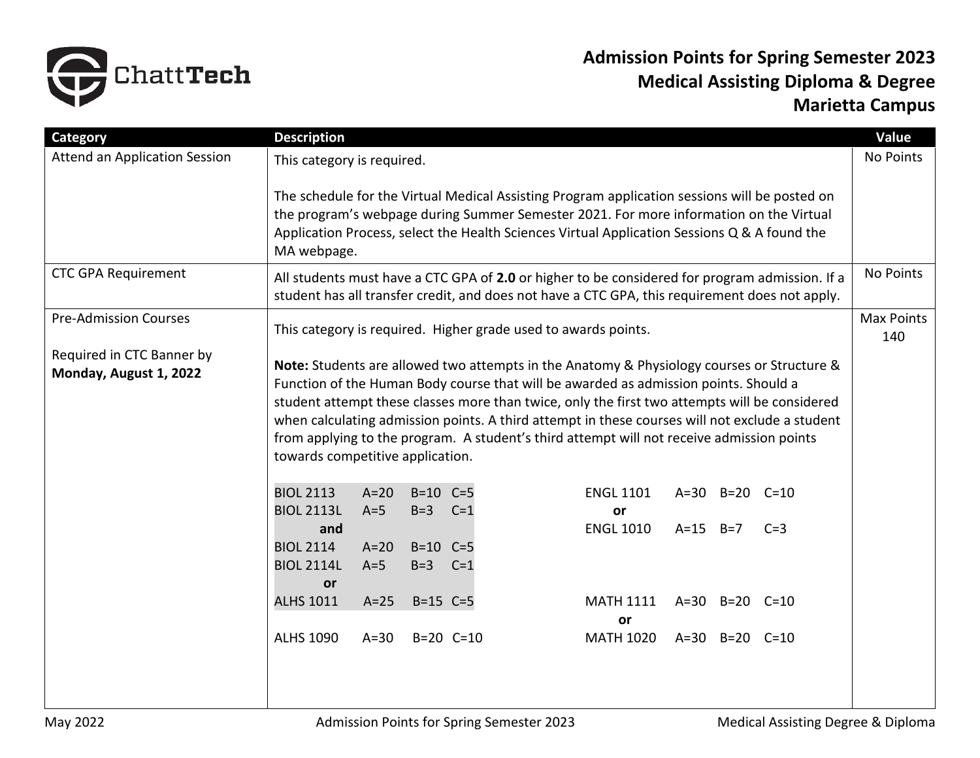

## **Admission Points for Spring Semester 2023 Medical Assisting Diploma & Degree Marietta Campus**

| Category                                            | <b>Description</b>                                                                                                                                                                                                                                                                                                                                                                                                                                                                                                     |                          |                       |                |                                                                | Value                    |
|-----------------------------------------------------|------------------------------------------------------------------------------------------------------------------------------------------------------------------------------------------------------------------------------------------------------------------------------------------------------------------------------------------------------------------------------------------------------------------------------------------------------------------------------------------------------------------------|--------------------------|-----------------------|----------------|----------------------------------------------------------------|--------------------------|
| <b>Attend an Application Session</b>                | This category is required.                                                                                                                                                                                                                                                                                                                                                                                                                                                                                             |                          |                       |                |                                                                |                          |
|                                                     | The schedule for the Virtual Medical Assisting Program application sessions will be posted on<br>the program's webpage during Summer Semester 2021. For more information on the Virtual<br>Application Process, select the Health Sciences Virtual Application Sessions Q & A found the<br>MA webpage.                                                                                                                                                                                                                 |                          |                       |                |                                                                |                          |
| <b>CTC GPA Requirement</b>                          | All students must have a CTC GPA of 2.0 or higher to be considered for program admission. If a<br>student has all transfer credit, and does not have a CTC GPA, this requirement does not apply.                                                                                                                                                                                                                                                                                                                       |                          |                       |                |                                                                |                          |
| <b>Pre-Admission Courses</b>                        |                                                                                                                                                                                                                                                                                                                                                                                                                                                                                                                        |                          |                       |                | This category is required. Higher grade used to awards points. | <b>Max Points</b><br>140 |
| Required in CTC Banner by<br>Monday, August 1, 2022 | Note: Students are allowed two attempts in the Anatomy & Physiology courses or Structure &<br>Function of the Human Body course that will be awarded as admission points. Should a<br>student attempt these classes more than twice, only the first two attempts will be considered<br>when calculating admission points. A third attempt in these courses will not exclude a student<br>from applying to the program. A student's third attempt will not receive admission points<br>towards competitive application. |                          |                       |                |                                                                |                          |
|                                                     | <b>BIOL 2113</b>                                                                                                                                                                                                                                                                                                                                                                                                                                                                                                       | $A=20$                   | $B=10$ $C=5$<br>$B=3$ |                | <b>ENGL 1101</b><br>A=30 B=20 C=10                             |                          |
|                                                     | <b>BIOL 2113L</b><br>and<br><b>BIOL 2114</b><br><b>BIOL 2114L</b><br><b>or</b>                                                                                                                                                                                                                                                                                                                                                                                                                                         | $A=5$<br>$A=20$<br>$A=5$ | $B=10$ $C=5$<br>$B=3$ | $C=1$<br>$C=1$ | or<br><b>ENGL 1010</b><br>$A=15$ $B=7$<br>$C=3$                |                          |
|                                                     | <b>ALHS 1011</b>                                                                                                                                                                                                                                                                                                                                                                                                                                                                                                       | $A=25$                   | $B=15$ $C=5$          |                | <b>MATH 1111</b><br>A=30 B=20 C=10<br>or                       |                          |
|                                                     | <b>ALHS 1090</b>                                                                                                                                                                                                                                                                                                                                                                                                                                                                                                       | $A=30$                   | $B=20$ $C=10$         |                | <b>MATH 1020</b><br>A=30 B=20 C=10                             |                          |
|                                                     |                                                                                                                                                                                                                                                                                                                                                                                                                                                                                                                        |                          |                       |                |                                                                |                          |